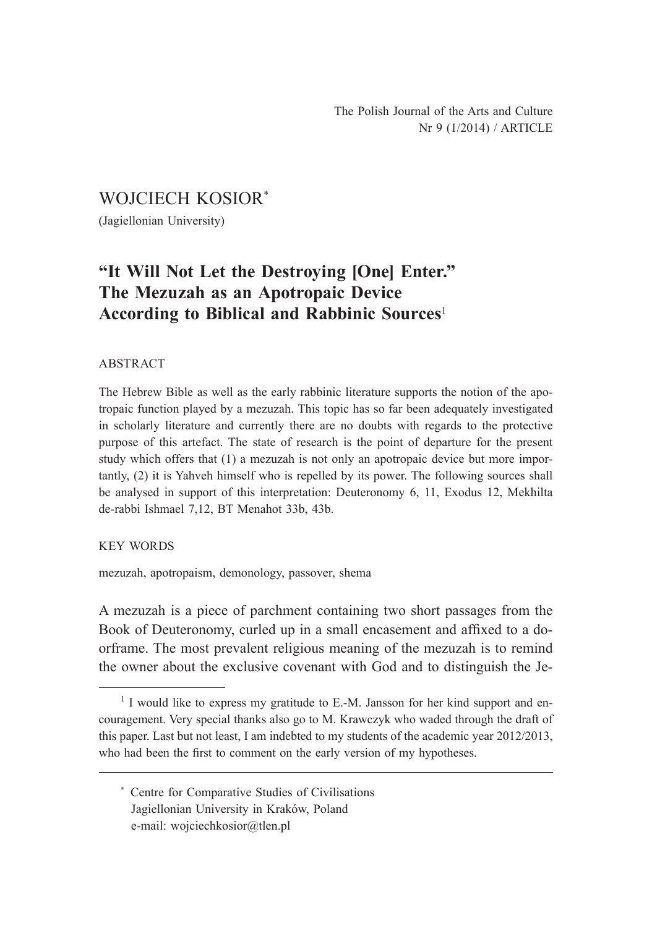## WOJCIECH KOSIOR\*

(Jagiellonian University)

# **"It Will Not Let the Destroying [One] Enter." The Mezuzah as an Apotropaic Device According to Biblical and Rabbinic Sources**<sup>1</sup>

#### ABSTRACT

The Hebrew Bible as well as the early rabbinic literature supports the notion of the apotropaic function played by a mezuzah. This topic has so far been adequately investigated in scholarly literature and currently there are no doubts with regards to the protective purpose of this artefact. The state of research is the point of departure for the present study which offers that (1) a mezuzah is not only an apotropaic device but more importantly, (2) it is Yahveh himself who is repelled by its power. The following sources shall be analysed in support of this interpretation: Deuteronomy 6, 11, Exodus 12, Mekhilta de-rabbi Ishmael 7,12, BT Menahot 33b, 43b.

#### KEY WORDS

mezuzah, apotropaism, demonology, passover, shema

A mezuzah is a piece of parchment containing two short passages from the Book of Deuteronomy, curled up in a small encasement and affixed to a doorframe. The most prevalent religious meaning of the mezuzah is to remind the owner about the exclusive covenant with God and to distinguish the Je-

<sup>&</sup>lt;sup>1</sup> I would like to express my gratitude to E.-M. Jansson for her kind support and encouragement. Very special thanks also go to M. Krawczyk who waded through the draft of this paper. Last but not least, I am indebted to my students of the academic year 2012/2013, who had been the first to comment on the early version of my hypotheses.

<sup>\*</sup> Centre for Comparative Studies of Civilisations Jagiellonian University in Kraków, Poland e-mail: wojciechkosior@tlen.pl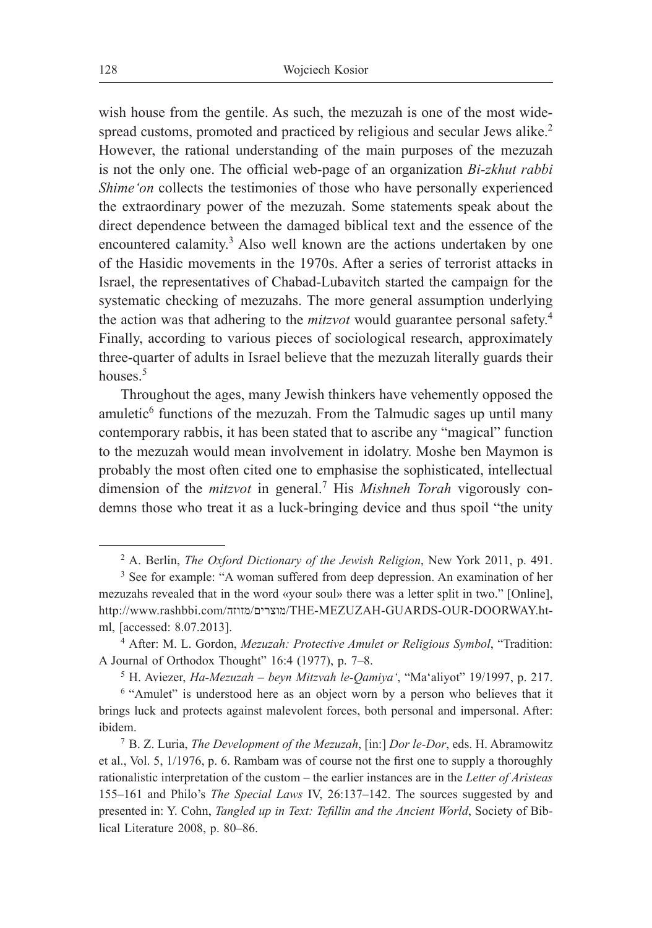wish house from the gentile. As such, the mezuzah is one of the most widespread customs, promoted and practiced by religious and secular Jews alike.<sup>2</sup> However, the rational understanding of the main purposes of the mezuzah is not the only one. The official web-page of an organization *Bi-zkhut rabbi Shime'on* collects the testimonies of those who have personally experienced the extraordinary power of the mezuzah. Some statements speak about the direct dependence between the damaged biblical text and the essence of the encountered calamity.<sup>3</sup> Also well known are the actions undertaken by one of the Hasidic movements in the 1970s. After a series of terrorist attacks in Israel, the representatives of Chabad-Lubavitch started the campaign for the systematic checking of mezuzahs. The more general assumption underlying the action was that adhering to the *mitzvot* would guarantee personal safety.<sup>4</sup> Finally, according to various pieces of sociological research, approximately three-quarter of adults in Israel believe that the mezuzah literally guards their houses.<sup>5</sup>

Throughout the ages, many Jewish thinkers have vehemently opposed the amuletic<sup>6</sup> functions of the mezuzah. From the Talmudic sages up until many contemporary rabbis, it has been stated that to ascribe any "magical" function to the mezuzah would mean involvement in idolatry. Moshe ben Maymon is probably the most often cited one to emphasise the sophisticated, intellectual dimension of the *mitzvot* in general.7 His *Mishneh Torah* vigorously condemns those who treat it as a luck-bringing device and thus spoil "the unity

<sup>2</sup> A. Berlin, *The Oxford Dictionary of the Jewish Religion*, New York 2011, p. 491.

<sup>3</sup> See for example: "A woman suffered from deep depression. An examination of her mezuzahs revealed that in the word «your soul» there was a letter split in two." [Online], http://www.rashbbi.com/מזוזה/מוצרים/THE-MEZUZAH-GUARDS-OUR-DOORWAY.html, [accessed: 8.07.2013]. 4 After: M. L. Gordon, *Mezuzah: Protective Amulet or Religious Symbol*, "Tradition:

A Journal of Orthodox Thought" 16:4 (1977), p. 7–8. 5 H. Aviezer, *Ha-Mezuzah – beyn Mitzvah le-Qamiya'*, "Ma'aliyot" 19/1997, p. 217. 6 "Amulet" is understood here as an object worn by a person who believes that it

brings luck and protects against malevolent forces, both personal and impersonal. After: ibidem. 7 B. Z. Luria, *The Development of the Mezuzah*, [in:] *Dor le-Dor*, eds. H. Abramowitz

et al., Vol. 5, 1/1976, p. 6. Rambam was of course not the first one to supply a thoroughly rationalistic interpretation of the custom – the earlier instances are in the *Letter of Aristeas* 155–161 and Philo's *The Special Laws* IV, 26:137–142. The sources suggested by and presented in: Y. Cohn, *Tangled up in Text: Tefillin and the Ancient World*, Society of Biblical Literature 2008, p. 80–86.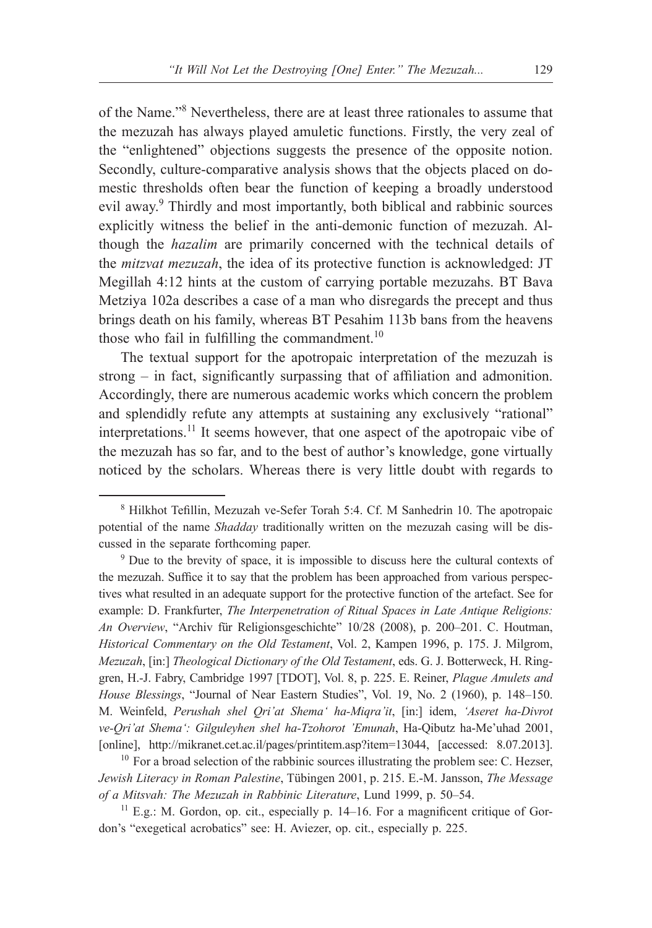of the Name."8 Nevertheless, there are at least three rationales to assume that the mezuzah has always played amuletic functions. Firstly, the very zeal of the "enlightened" objections suggests the presence of the opposite notion. Secondly, culture-comparative analysis shows that the objects placed on domestic thresholds often bear the function of keeping a broadly understood evil away.<sup>9</sup> Thirdly and most importantly, both biblical and rabbinic sources explicitly witness the belief in the anti-demonic function of mezuzah. Although the *hazalim* are primarily concerned with the technical details of the *mitzvat mezuzah*, the idea of its protective function is acknowledged: JT Megillah 4:12 hints at the custom of carrying portable mezuzahs. BT Bava Metziya 102a describes a case of a man who disregards the precept and thus brings death on his family, whereas BT Pesahim 113b bans from the heavens those who fail in fulfilling the commandment. $10$ 

The textual support for the apotropaic interpretation of the mezuzah is strong – in fact, significantly surpassing that of affiliation and admonition. Accordingly, there are numerous academic works which concern the problem and splendidly refute any attempts at sustaining any exclusively "rational" interpretations.11 It seems however, that one aspect of the apotropaic vibe of the mezuzah has so far, and to the best of author's knowledge, gone virtually noticed by the scholars. Whereas there is very little doubt with regards to

the mezuzah. Suffice it to say that the problem has been approached from various perspectives what resulted in an adequate support for the protective function of the artefact. See for example: D. Frankfurter, *The Interpenetration of Ritual Spaces in Late Antique Religions: An Overview*, "Archiv für Religionsgeschichte" 10/28 (2008), p. 200–201. C. Houtman, *Historical Commentary on the Old Testament*, Vol. 2, Kampen 1996, p. 175. J. Milgrom, *Mezuzah*, [in:] *Theological Dictionary of the Old Testament*, eds. G. J. Botterweck, H. Ringgren, H.-J. Fabry, Cambridge 1997 [TDOT], Vol. 8, p. 225. E. Reiner, *Plague Amulets and House Blessings*, "Journal of Near Eastern Studies", Vol. 19, No. 2 (1960), p. 148–150. M. Weinfeld, *Perushah shel Qri'at Shema' ha-Miqra'it*, [in:] idem, *'Aseret ha-Divrot ve-Qri'at Shema': Gilguleyhen shel ha-Tzohorot 'Emunah*, Ha-Qibutz ha-Me'uhad 2001, [online], http://mikranet.cet.ac.il/pages/printitem.asp?item=13044, [accessed: 8.07.2013].

 $10$  For a broad selection of the rabbinic sources illustrating the problem see: C. Hezser, *Jewish Literacy in Roman Palestine*, Tübingen 2001, p. 215. E.-M. Jansson, *The Message of a Mitsvah: The Mezuzah in Rabbinic Literature*, Lund 1999, p. 50–54.

 $11$  E.g.: M. Gordon, op. cit., especially p. 14–16. For a magnificent critique of Gordon's "exegetical acrobatics" see: H. Aviezer, op. cit., especially p. 225.

<sup>8</sup> Hilkhot Tefillin, Mezuzah ve-Sefer Torah 5:4. Cf. M Sanhedrin 10. The apotropaic potential of the name *Shadday* traditionally written on the mezuzah casing will be discussed in the separate forthcoming paper.<br><sup>9</sup> Due to the brevity of space, it is impossible to discuss here the cultural contexts of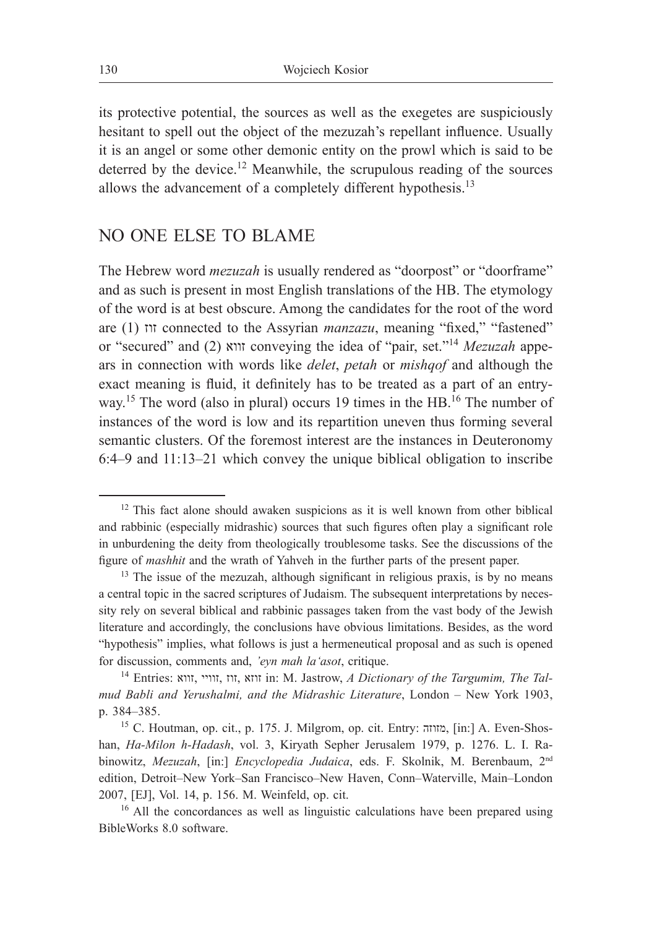its protective potential, the sources as well as the exegetes are suspiciously hesitant to spell out the object of the mezuzah's repellant influence. Usually it is an angel or some other demonic entity on the prowl which is said to be deterred by the device.<sup>12</sup> Meanwhile, the scrupulous reading of the sources allows the advancement of a completely different hypothesis.<sup>13</sup>

## NO ONE ELSE TO BLAME

The Hebrew word *mezuzah* is usually rendered as "doorpost" or "doorframe" and as such is present in most English translations of the HB. The etymology of the word is at best obscure. Among the candidates for the root of the word are (1) זוז connected to the Assyrian *manzazu*, meaning "fixed," "fastened" or "secured" and (2) זווא conveying the idea of "pair, set."14 *Mezuzah* appears in connection with words like *delet*, *petah* or *mishqof* and although the exact meaning is fluid, it definitely has to be treated as a part of an entryway.<sup>15</sup> The word (also in plural) occurs 19 times in the HB.<sup>16</sup> The number of instances of the word is low and its repartition uneven thus forming several semantic clusters. Of the foremost interest are the instances in Deuteronomy 6:4–9 and 11:13–21 which convey the unique biblical obligation to inscribe

<sup>&</sup>lt;sup>12</sup> This fact alone should awaken suspicions as it is well known from other biblical and rabbinic (especially midrashic) sources that such figures often play a significant role in unburdening the deity from theologically troublesome tasks. See the discussions of the figure of *mashhit* and the wrath of Yahveh in the further parts of the present paper.

<sup>&</sup>lt;sup>13</sup> The issue of the mezuzah, although significant in religious praxis, is by no means a central topic in the sacred scriptures of Judaism. The subsequent interpretations by necessity rely on several biblical and rabbinic passages taken from the vast body of the Jewish literature and accordingly, the conclusions have obvious limitations. Besides, as the word "hypothesis" implies, what follows is just a hermeneutical proposal and as such is opened for discussion, comments and, *'eyn mah la'asot*, critique.

<sup>&</sup>lt;sup>14</sup> Entries: זווא, זוו, זווי, זוו, אזוז in: M. Jastrow, *A Dictionary of the Targumim, The Talmud Babli and Yerushalmi, and the Midrashic Literature*, London – New York 1903, p. 384–385.

<sup>&</sup>lt;sup>15</sup> C. Houtman, op. cit., p. 175. J. Milgrom, op. cit. Entry: מזוזה, [in:] A. Even-Shoshan, *Ha-Milon h-Hadash*, vol. 3, Kiryath Sepher Jerusalem 1979, p. 1276. L. I. Rabinowitz, *Mezuzah*, [in:] *Encyclopedia Judaica*, eds. F. Skolnik, M. Berenbaum, 2nd edition, Detroit-New York-San Francisco-New Haven, Conn-Waterville, Main-London 2007, [EJ], Vol. 14, p. 156. M. Weinfeld, op. cit.  $16$  All the concordances as well as linguistic calculations have been prepared using

BibleWorks 8.0 software.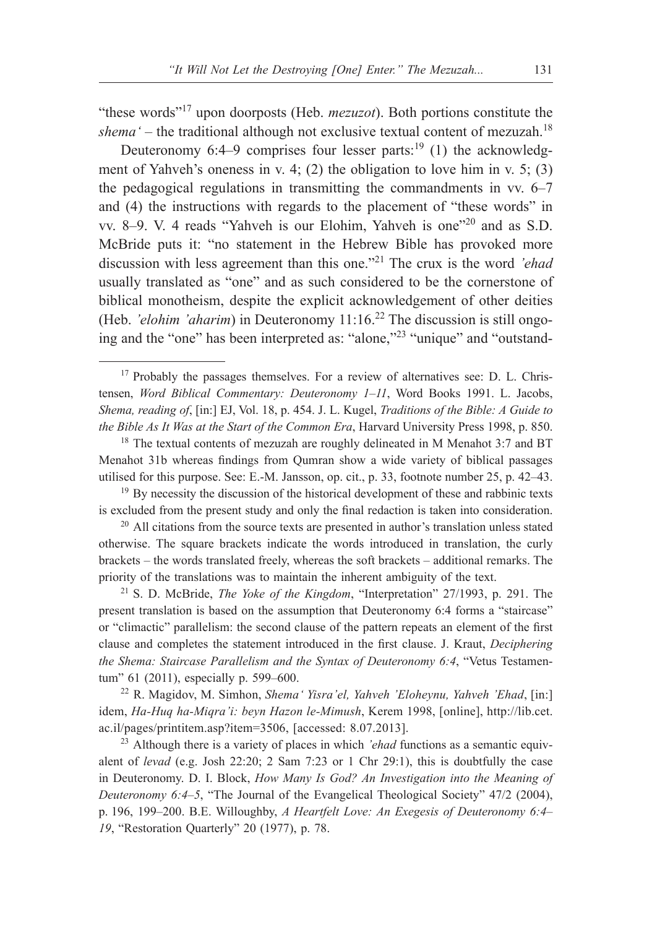"these words"17 upon doorposts (Heb. *mezuzot*). Both portions constitute the *shema'* – the traditional although not exclusive textual content of mezuzah.18

Deuteronomy 6:4–9 comprises four lesser parts:<sup>19</sup> (1) the acknowledgment of Yahveh's oneness in v. 4; (2) the obligation to love him in v. 5; (3) the pedagogical regulations in transmitting the commandments in vv. 6–7 and (4) the instructions with regards to the placement of "these words" in vv. 8–9. V. 4 reads "Yahveh is our Elohim, Yahveh is one"20 and as S.D. McBride puts it: "no statement in the Hebrew Bible has provoked more discussion with less agreement than this one."21 The crux is the word *'ehad* usually translated as "one" and as such considered to be the cornerstone of biblical monotheism, despite the explicit acknowledgement of other deities (Heb. *'elohim 'aharim*) in Deuteronomy 11:16.22 The discussion is still ongoing and the "one" has been interpreted as: "alone,"23 "unique" and "outstand-

 $20$  All citations from the source texts are presented in author's translation unless stated otherwise. The square brackets indicate the words introduced in translation, the curly brackets – the words translated freely, whereas the soft brackets – additional remarks. The priority of the translations was to maintain the inherent ambiguity of the text. 21 S. D. McBride, *The Yoke of the Kingdom*, "Interpretation" 27/1993, p. 291. The

present translation is based on the assumption that Deuteronomy 6:4 forms a "staircase" or "climactic" parallelism: the second clause of the pattern repeats an element of the first clause and completes the statement introduced in the first clause. J. Kraut, *Deciphering the Shema: Staircase Parallelism and the Syntax of Deuteronomy 6:4*, "Vetus Testamentum" 61 (2011), especially p. 599–600.

<sup>22</sup> R. Magidov, M. Simhon, *Shema' Yisra'el, Yahveh 'Eloheynu, Yahveh 'Ehad*, [in:] idem, *Ha-Huq ha-Miqra'i: beyn Hazon le-Mimush*, Kerem 1998, [online], http://lib.cet. ac.il/pages/printitem.asp?item=3506, [accessed: 8.07.2013].

<sup>23</sup> Although there is a variety of places in which *'ehad* functions as a semantic equivalent of *levad* (e.g. Josh 22:20; 2 Sam 7:23 or 1 Chr 29:1), this is doubtfully the case in Deuteronomy. D. I. Block, *How Many Is God? An Investigation into the Meaning of Deuteronomy 6:4–5*, "The Journal of the Evangelical Theological Society" 47/2 (2004), p. 196, 199–200. B.E. Willoughby, *A Heartfelt Love: An Exegesis of Deuteronomy 6:4– 19*, "Restoration Quarterly" 20 (1977), p. 78.

<sup>&</sup>lt;sup>17</sup> Probably the passages themselves. For a review of alternatives see: D. L. Christensen, *Word Biblical Commentary: Deuteronomy 1–11*, Word Books 1991. L. Jacobs, *Shema, reading of*, [in:] EJ, Vol. 18, p. 454. J. L. Kugel, *Traditions of the Bible: A Guide to the Bible As It Was at the Start of the Common Era*, Harvard University Press 1998, p. 850.

<sup>&</sup>lt;sup>18</sup> The textual contents of mezuzah are roughly delineated in M Menahot 3:7 and BT Menahot 31b whereas findings from Qumran show a wide variety of biblical passages utilised for this purpose. See: E.-M. Jansson, op. cit., p. 33, footnote number 25, p. 42–43.

<sup>&</sup>lt;sup>19</sup> By necessity the discussion of the historical development of these and rabbinic texts is excluded from the present study and only the final redaction is taken into consideration.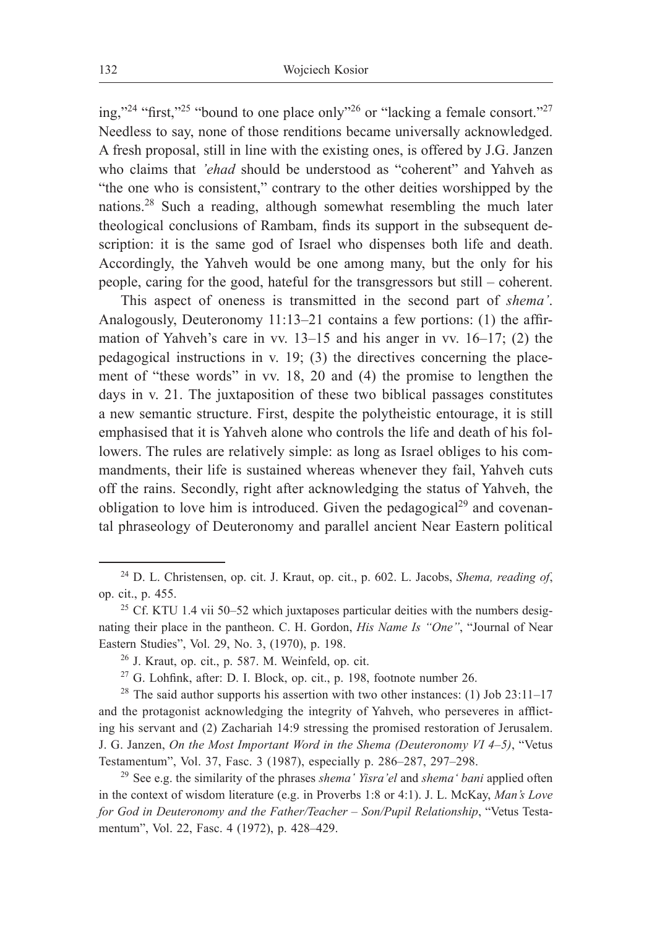ing,"<sup>24</sup> "first,"<sup>25</sup> "bound to one place only"<sup>26</sup> or "lacking a female consort."<sup>27</sup> Needless to say, none of those renditions became universally acknowledged. A fresh proposal, still in line with the existing ones, is offered by J.G. Janzen who claims that *'ehad* should be understood as "coherent" and Yahveh as "the one who is consistent," contrary to the other deities worshipped by the nations.28 Such a reading, although somewhat resembling the much later theological conclusions of Rambam, finds its support in the subsequent description: it is the same god of Israel who dispenses both life and death. Accordingly, the Yahveh would be one among many, but the only for his people, caring for the good, hateful for the transgressors but still – coherent.

This aspect of oneness is transmitted in the second part of *shema'*. Analogously, Deuteronomy 11:13–21 contains a few portions: (1) the affirmation of Yahveh's care in vv. 13–15 and his anger in vv. 16–17; (2) the pedagogical instructions in v. 19; (3) the directives concerning the placement of "these words" in vv. 18, 20 and (4) the promise to lengthen the days in v. 21. The juxtaposition of these two biblical passages constitutes a new semantic structure. First, despite the polytheistic entourage, it is still emphasised that it is Yahveh alone who controls the life and death of his followers. The rules are relatively simple: as long as Israel obliges to his commandments, their life is sustained whereas whenever they fail, Yahveh cuts off the rains. Secondly, right after acknowledging the status of Yahveh, the obligation to love him is introduced. Given the pedagogical<sup>29</sup> and covenantal phraseology of Deuteronomy and parallel ancient Near Eastern political

<sup>24</sup> D. L. Christensen, op. cit. J. Kraut, op. cit., p. 602. L. Jacobs, *Shema, reading of*, op. cit., p. 455.

<sup>&</sup>lt;sup>25</sup> Cf. KTU 1.4 vii 50–52 which juxtaposes particular deities with the numbers designating their place in the pantheon. C. H. Gordon, *His Name Is "One"*, "Journal of Near Eastern Studies", Vol. 29, No. 3, (1970), p. 198.

 $26$  J. Kraut, op. cit., p. 587. M. Weinfeld, op. cit.

<sup>27</sup> G. Lohfink, after: D. I. Block, op. cit., p. 198, footnote number 26.

<sup>&</sup>lt;sup>28</sup> The said author supports his assertion with two other instances: (1) Job 23:11–17 and the protagonist acknowledging the integrity of Yahveh, who perseveres in afflicting his servant and (2) Zachariah 14:9 stressing the promised restoration of Jerusalem. J. G. Janzen, *On the Most Important Word in the Shema (Deuteronomy VI 4–5)*, "Vetus Testamentum", Vol. 37, Fasc. 3 (1987), especially p. 286–287, 297–298.

<sup>29</sup> See e.g. the similarity of the phrases *shema' Yisra'el* and *shema' bani* applied often in the context of wisdom literature (e.g. in Proverbs 1:8 or 4:1). J. L. McKay, *Man's Love for God in Deuteronomy and the Father/Teacher – Son/Pupil Relationship*, "Vetus Testamentum", Vol. 22, Fasc. 4 (1972), p. 428–429.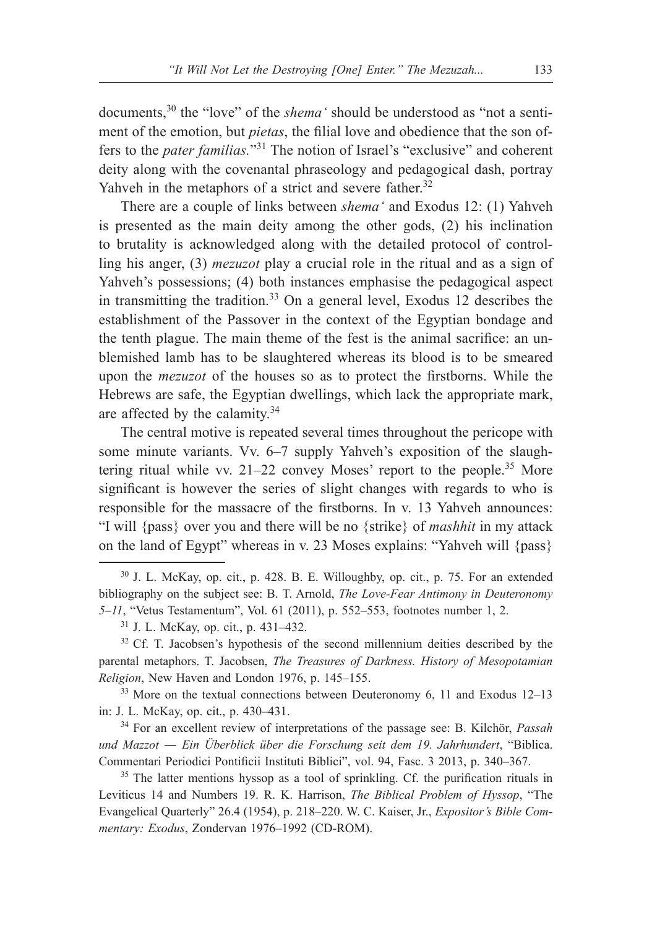documents,30 the "love" of the *shema'* should be understood as "not a sentiment of the emotion, but *pietas*, the filial love and obedience that the son offers to the *pater familias.*"31 The notion of Israel's "exclusive" and coherent deity along with the covenantal phraseology and pedagogical dash, portray Yahveh in the metaphors of a strict and severe father.<sup>32</sup>

There are a couple of links between *shema'* and Exodus 12: (1) Yahveh is presented as the main deity among the other gods, (2) his inclination to brutality is acknowledged along with the detailed protocol of controlling his anger, (3) *mezuzot* play a crucial role in the ritual and as a sign of Yahveh's possessions; (4) both instances emphasise the pedagogical aspect in transmitting the tradition.<sup>33</sup> On a general level, Exodus 12 describes the establishment of the Passover in the context of the Egyptian bondage and the tenth plague. The main theme of the fest is the animal sacrifice: an unblemished lamb has to be slaughtered whereas its blood is to be smeared upon the *mezuzot* of the houses so as to protect the firstborns. While the Hebrews are safe, the Egyptian dwellings, which lack the appropriate mark, are affected by the calamity.<sup>34</sup>

The central motive is repeated several times throughout the pericope with some minute variants. Vv. 6–7 supply Yahveh's exposition of the slaughtering ritual while vv.  $21-22$  convey Moses' report to the people.<sup>35</sup> More significant is however the series of slight changes with regards to who is responsible for the massacre of the firstborns. In v. 13 Yahveh announces: "I will {pass} over you and there will be no {strike} of *mashhit* in my attack on the land of Egypt" whereas in v. 23 Moses explains: "Yahveh will {pass}

 $33$  More on the textual connections between Deuteronomy 6, 11 and Exodus 12–13 in: J. L. McKay, op. cit., p. 430–431.

<sup>34</sup> For an excellent review of interpretations of the passage see: B. Kilchör, *Passah und Mazzot ― Ein Überblick über die Forschung seit dem 19. Jahrhundert*, "Biblica. Commentari Periodici Pontificii Instituti Biblici", vol. 94, Fasc. 3 2013, p. 340–367.

<sup>35</sup> The latter mentions hyssop as a tool of sprinkling. Cf. the purification rituals in Leviticus 14 and Numbers 19. R. K. Harrison, *The Biblical Problem of Hyssop*, "The Evangelical Quarterly" 26.4 (1954), p. 218–220. W. C. Kaiser, Jr., *Expositor's Bible Commentary: Exodus*, Zondervan 1976–1992 (CD-ROM).

<sup>30</sup> J. L. McKay, op. cit., p. 428. B. E. Willoughby, op. cit., p. 75. For an extended bibliography on the subject see: B. T. Arnold, *The Love-Fear Antimony in Deuteronomy 5‒11*, "Vetus Testamentum", Vol. 61 (2011), p. 552–553, footnotes number 1, 2.

 $31$  J. L. McKay, op. cit., p. 431–432.<br> $32$  Cf. T. Jacobsen's hypothesis of the second millennium deities described by the parental metaphors. T. Jacobsen, *The Treasures of Darkness. History of Mesopotamian Religion*, New Haven and London 1976, p. 145–155.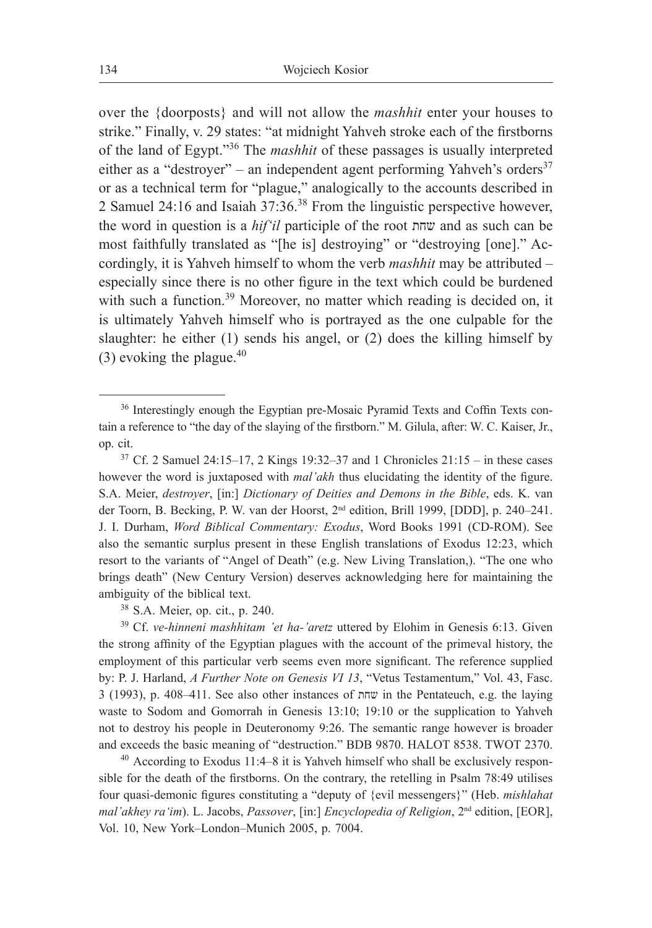over the {doorposts} and will not allow the *mashhit* enter your houses to strike." Finally, v. 29 states: "at midnight Yahveh stroke each of the firstborns of the land of Egypt."36 The *mashhit* of these passages is usually interpreted either as a "destroyer" – an independent agent performing Yahveh's orders<sup>37</sup> or as a technical term for "plague," analogically to the accounts described in 2 Samuel 24:16 and Isaiah 37:36.38 From the linguistic perspective however, the word in question is a *hif'il* participle of the root שחת and as such can be most faithfully translated as "[he is] destroying" or "destroying [one]." Accordingly, it is Yahveh himself to whom the verb *mashhit* may be attributed – especially since there is no other figure in the text which could be burdened with such a function.<sup>39</sup> Moreover, no matter which reading is decided on, it is ultimately Yahveh himself who is portrayed as the one culpable for the slaughter: he either (1) sends his angel, or (2) does the killing himself by  $(3)$  evoking the plague.<sup>40</sup>

<sup>39</sup> Cf. *ve-hinneni mashhitam 'et ha-'aretz* uttered by Elohim in Genesis 6:13. Given the strong affinity of the Egyptian plagues with the account of the primeval history, the employment of this particular verb seems even more significant. The reference supplied by: P. J. Harland, *A Further Note on Genesis VI 13*, "Vetus Testamentum," Vol. 43, Fasc. 3 (1993), p. 408–411. See also other instances of שחת in the Pentateuch, e.g. the laying waste to Sodom and Gomorrah in Genesis 13:10; 19:10 or the supplication to Yahveh not to destroy his people in Deuteronomy 9:26. The semantic range however is broader and exceeds the basic meaning of "destruction." BDB 9870. HALOT 8538. TWOT 2370.  $^{40}$  According to Exodus 11:4–8 it is Yahveh himself who shall be exclusively respon-

sible for the death of the firstborns. On the contrary, the retelling in Psalm 78:49 utilises four quasi-demonic figures constituting a "deputy of {evil messengers}" (Heb. *mishlahat mal'akhey ra'im*). L. Jacobs, *Passover*, [in:] *Encyclopedia of Religion*, 2nd edition, [EOR], Vol. 10, New York-London-Munich 2005, p. 7004.

<sup>36</sup> Interestingly enough the Egyptian pre-Mosaic Pyramid Texts and Coffin Texts contain a reference to "the day of the slaying of the firstborn." M. Gilula, after: W. C. Kaiser, Jr., op. cit.

<sup>&</sup>lt;sup>37</sup> Cf. 2 Samuel 24:15–17, 2 Kings 19:32–37 and 1 Chronicles  $21:15 - in$  these cases however the word is juxtaposed with *mal'akh* thus elucidating the identity of the figure. S.A. Meier, *destroyer*, [in:] *Dictionary of Deities and Demons in the Bible*, eds. K. van der Toorn, B. Becking, P. W. van der Hoorst, 2nd edition, Brill 1999, [DDD], p. 240–241. J. I. Durham, *Word Biblical Commentary: Exodus*, Word Books 1991 (CD-ROM). See also the semantic surplus present in these English translations of Exodus 12:23, which resort to the variants of "Angel of Death" (e.g. New Living Translation,). "The one who brings death" (New Century Version) deserves acknowledging here for maintaining the ambiguity of the biblical text.

<sup>38</sup> S.A. Meier, op. cit., p. 240.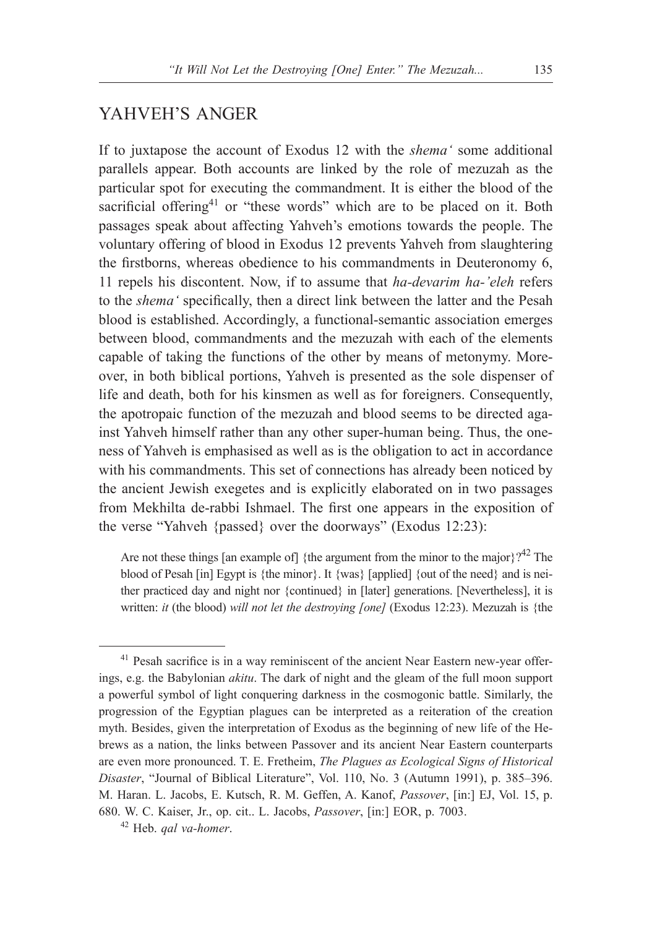### YAHVEH'S ANGER

If to juxtapose the account of Exodus 12 with the *shema'* some additional parallels appear. Both accounts are linked by the role of mezuzah as the particular spot for executing the commandment. It is either the blood of the sacrificial offering<sup>41</sup> or "these words" which are to be placed on it. Both passages speak about affecting Yahveh's emotions towards the people. The voluntary offering of blood in Exodus 12 prevents Yahveh from slaughtering the firstborns, whereas obedience to his commandments in Deuteronomy 6, 11 repels his discontent. Now, if to assume that *ha-devarim ha-'eleh* refers to the *shema'* specifically, then a direct link between the latter and the Pesah blood is established. Accordingly, a functional-semantic association emerges between blood, commandments and the mezuzah with each of the elements capable of taking the functions of the other by means of metonymy. Moreover, in both biblical portions, Yahveh is presented as the sole dispenser of life and death, both for his kinsmen as well as for foreigners. Consequently, the apotropaic function of the mezuzah and blood seems to be directed against Yahveh himself rather than any other super-human being. Thus, the oneness of Yahveh is emphasised as well as is the obligation to act in accordance with his commandments. This set of connections has already been noticed by the ancient Jewish exegetes and is explicitly elaborated on in two passages from Mekhilta de-rabbi Ishmael. The first one appears in the exposition of the verse "Yahveh {passed} over the doorways" (Exodus 12:23):

Are not these things [an example of] {the argument from the minor to the major}?<sup>42</sup> The blood of Pesah [in] Egypt is {the minor}. It {was} [applied] {out of the need} and is neither practiced day and night nor {continued} in [later] generations. [Nevertheless], it is written: *it* (the blood) *will not let the destroying [one]* (Exodus 12:23). Mezuzah is {the

<sup>&</sup>lt;sup>41</sup> Pesah sacrifice is in a way reminiscent of the ancient Near Eastern new-year offerings, e.g. the Babylonian *akitu*. The dark of night and the gleam of the full moon support a powerful symbol of light conquering darkness in the cosmogonic battle. Similarly, the progression of the Egyptian plagues can be interpreted as a reiteration of the creation myth. Besides, given the interpretation of Exodus as the beginning of new life of the Hebrews as a nation, the links between Passover and its ancient Near Eastern counterparts are even more pronounced. T. E. Fretheim, *The Plagues as Ecological Signs of Historical Disaster*, "Journal of Biblical Literature", Vol. 110, No. 3 (Autumn 1991), p. 385–396. M. Haran. L. Jacobs, E. Kutsch, R. M. Geffen, A. Kanof, *Passover*, [in:] EJ, Vol. 15, p. 680. W. C. Kaiser, Jr., op. cit.. L. Jacobs, *Passover*, [in:] EOR, p. 7003.

<sup>42</sup> Heb. *qal va-homer*.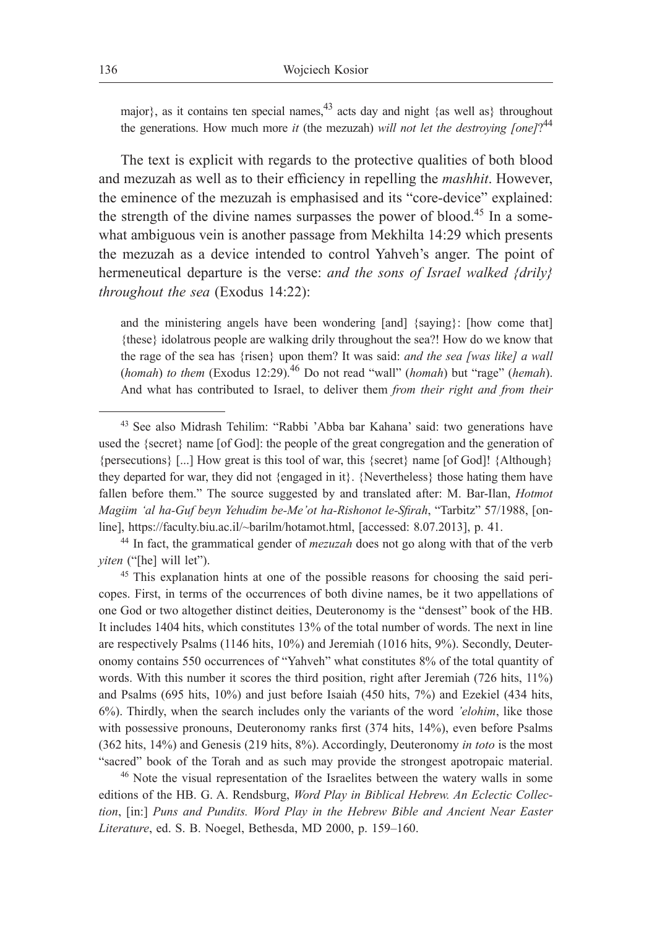major}, as it contains ten special names,  $43$  acts day and night {as well as} throughout the generations. How much more *it* (the mezuzah) *will not let the destroying [one]*? 44

The text is explicit with regards to the protective qualities of both blood and mezuzah as well as to their efficiency in repelling the *mashhit*. However, the eminence of the mezuzah is emphasised and its "core-device" explained: the strength of the divine names surpasses the power of blood.<sup>45</sup> In a somewhat ambiguous vein is another passage from Mekhilta 14:29 which presents the mezuzah as a device intended to control Yahveh's anger. The point of hermeneutical departure is the verse: *and the sons of Israel walked {drily} throughout the sea* (Exodus 14:22):

and the ministering angels have been wondering [and] {saying}: [how come that] {these} idolatrous people are walking drily throughout the sea?! How do we know that the rage of the sea has {risen} upon them? It was said: *and the sea [was like] a wall*  (*homah*) *to them* (Exodus 12:29).46 Do not read "wall" (*homah*) but "rage" (*hemah*). And what has contributed to Israel, to deliver them *from their right and from their* 

<sup>46</sup> Note the visual representation of the Israelites between the watery walls in some editions of the HB. G. A. Rendsburg, *Word Play in Biblical Hebrew. An Eclectic Collection*, [in:] *Puns and Pundits. Word Play in the Hebrew Bible and Ancient Near Easter Literature*, ed. S. B. Noegel, Bethesda, MD 2000, p. 159–160.

<sup>43</sup> See also Midrash Tehilim: "Rabbi 'Abba bar Kahana' said: two generations have used the {secret} name [of God]: the people of the great congregation and the generation of {persecutions} [...] How great is this tool of war, this {secret} name [of God]! {Although} they departed for war, they did not {engaged in it}. {Nevertheless} those hating them have fallen before them." The source suggested by and translated after: M. Bar-Ilan, *Hotmot Magiim 'al ha-Guf beyn Yehudim be-Me'ot ha-Rishonot le-Sfirah*, "Tarbitz" 57/1988, [online], https://faculty.biu.ac.il/~barilm/hotamot.html, [accessed: 8.07.2013], p. 41. 44 In fact, the grammatical gender of *mezuzah* does not go along with that of the verb

*yiten* ("[he] will let").

<sup>45</sup> This explanation hints at one of the possible reasons for choosing the said pericopes. First, in terms of the occurrences of both divine names, be it two appellations of one God or two altogether distinct deities, Deuteronomy is the "densest" book of the HB. It includes 1404 hits, which constitutes 13% of the total number of words. The next in line are respectively Psalms (1146 hits, 10%) and Jeremiah (1016 hits, 9%). Secondly, Deuteronomy contains 550 occurrences of "Yahveh" what constitutes 8% of the total quantity of words. With this number it scores the third position, right after Jeremiah (726 hits, 11%) and Psalms (695 hits, 10%) and just before Isaiah (450 hits, 7%) and Ezekiel (434 hits, 6%). Thirdly, when the search includes only the variants of the word *'elohim*, like those with possessive pronouns, Deuteronomy ranks first (374 hits, 14%), even before Psalms (362 hits, 14%) and Genesis (219 hits, 8%). Accordingly, Deuteronomy *in toto* is the most "sacred" book of the Torah and as such may provide the strongest apotropaic material.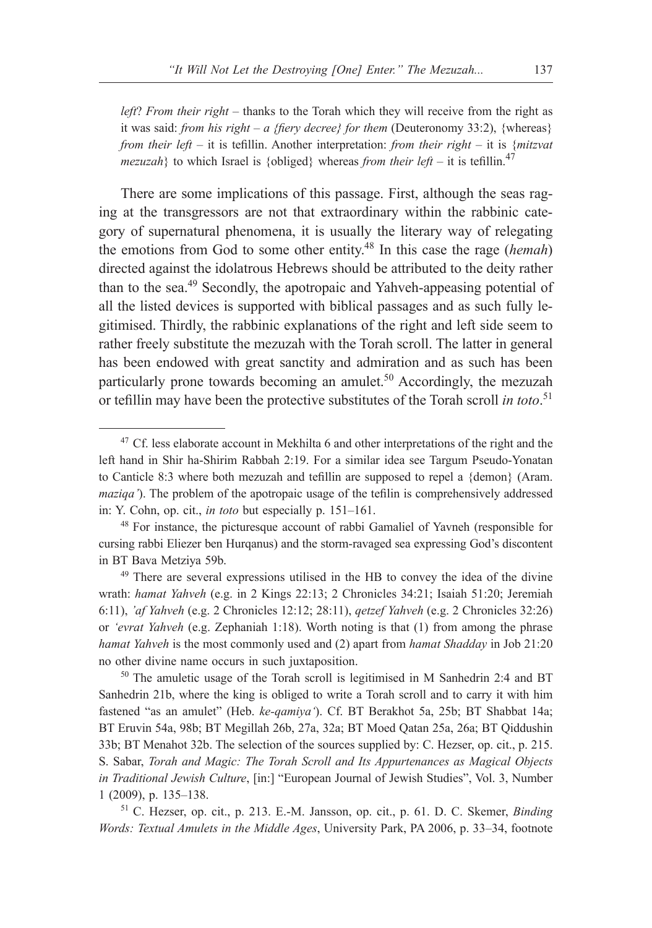*left*? *From their right* – thanks to the Torah which they will receive from the right as it was said: *from his right – a {fiery decree} for them* (Deuteronomy 33:2), {whereas} *from their left* – it is tefillin. Another interpretation: *from their right* – it is {*mitzvat mezuzah*} to which Israel is {obliged} whereas *from their left* – it is tefillin.<sup>47</sup>

There are some implications of this passage. First, although the seas raging at the transgressors are not that extraordinary within the rabbinic category of supernatural phenomena, it is usually the literary way of relegating the emotions from God to some other entity.48 In this case the rage (*hemah*) directed against the idolatrous Hebrews should be attributed to the deity rather than to the sea.49 Secondly, the apotropaic and Yahveh-appeasing potential of all the listed devices is supported with biblical passages and as such fully legitimised. Thirdly, the rabbinic explanations of the right and left side seem to rather freely substitute the mezuzah with the Torah scroll. The latter in general has been endowed with great sanctity and admiration and as such has been particularly prone towards becoming an amulet.<sup>50</sup> Accordingly, the mezuzah or tefillin may have been the protective substitutes of the Torah scroll *in toto*. 51

<sup>50</sup> The amuletic usage of the Torah scroll is legitimised in M Sanhedrin 2:4 and BT Sanhedrin 21b, where the king is obliged to write a Torah scroll and to carry it with him fastened "as an amulet" (Heb. *ke-qamiya'*). Cf. BT Berakhot 5a, 25b; BT Shabbat 14a; BT Eruvin 54a, 98b; BT Megillah 26b, 27a, 32a; BT Moed Qatan 25a, 26a; BT Qiddushin 33b; BT Menahot 32b. The selection of the sources supplied by: C. Hezser, op. cit., p. 215. S. Sabar, *Torah and Magic: The Torah Scroll and Its Appurtenances as Magical Objects in Traditional Jewish Culture*, [in:] "European Journal of Jewish Studies", Vol. 3, Number 1 (2009), p. 135–138. 51 C. Hezser, op. cit., p. 213. E.-M. Jansson, op. cit., p. 61. D. C. Skemer, *Binding* 

*Words: Textual Amulets in the Middle Ages*, University Park, PA 2006, p. 33–34, footnote

<sup>&</sup>lt;sup>47</sup> Cf. less elaborate account in Mekhilta 6 and other interpretations of the right and the left hand in Shir ha-Shirim Rabbah 2:19. For a similar idea see Targum Pseudo-Yonatan to Canticle 8:3 where both mezuzah and tefillin are supposed to repel a {demon} (Aram. *maziqa'*). The problem of the apotropaic usage of the tefilin is comprehensively addressed in: Y. Cohn, op. cit., *in toto* but especially p. 151–161.

<sup>48</sup> For instance, the picturesque account of rabbi Gamaliel of Yavneh (responsible for cursing rabbi Eliezer ben Hurqanus) and the storm-ravaged sea expressing God's discontent in BT Bava Metziya 59b.

<sup>49</sup> There are several expressions utilised in the HB to convey the idea of the divine wrath: *hamat Yahveh* (e.g. in 2 Kings 22:13; 2 Chronicles 34:21; Isaiah 51:20; Jeremiah 6:11), *'af Yahveh* (e.g. 2 Chronicles 12:12; 28:11), *qetzef Yahveh* (e.g. 2 Chronicles 32:26) or *'evrat Yahveh* (e.g. Zephaniah 1:18). Worth noting is that (1) from among the phrase *hamat Yahveh* is the most commonly used and (2) apart from *hamat Shadday* in Job 21:20 no other divine name occurs in such juxtaposition.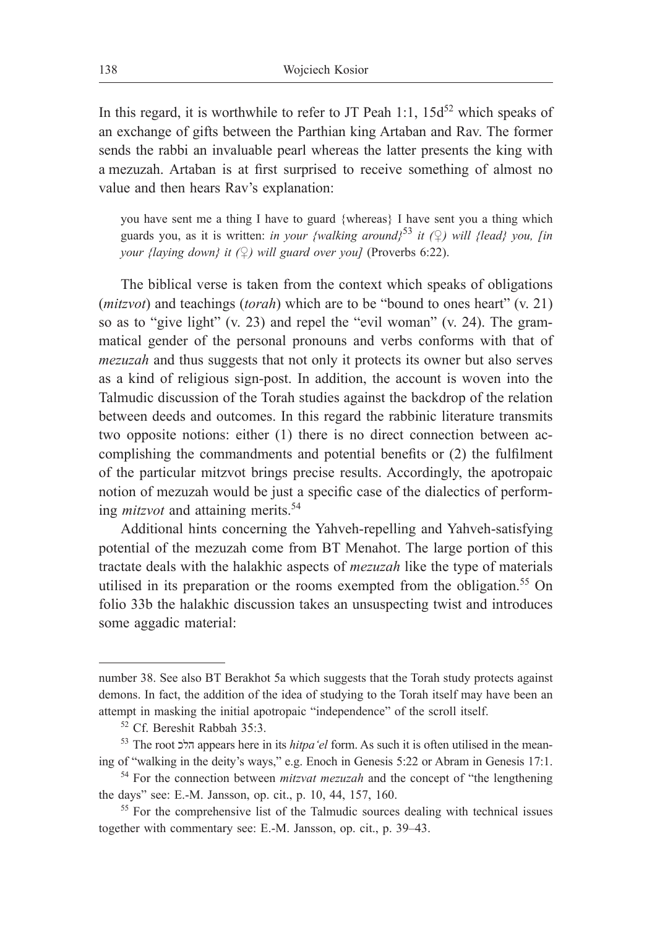In this regard, it is worthwhile to refer to JT Peah 1:1,  $15d^{52}$  which speaks of an exchange of gifts between the Parthian king Artaban and Rav. The former sends the rabbi an invaluable pearl whereas the latter presents the king with a mezuzah. Artaban is at first surprised to receive something of almost no value and then hears Rav's explanation:

you have sent me a thing I have to guard {whereas} I have sent you a thing which guards you, as it is written: *in your {walking around}*<sup>53</sup> *it (*♀) *will {lead} you, [in your {laying down} it (♀) will guard over you]* (Proverbs 6:22).

The biblical verse is taken from the context which speaks of obligations (*mitzvot*) and teachings (*torah*) which are to be "bound to ones heart" (v. 21) so as to "give light" (v. 23) and repel the "evil woman" (v. 24). The grammatical gender of the personal pronouns and verbs conforms with that of *mezuzah* and thus suggests that not only it protects its owner but also serves as a kind of religious sign-post. In addition, the account is woven into the Talmudic discussion of the Torah studies against the backdrop of the relation between deeds and outcomes. In this regard the rabbinic literature transmits two opposite notions: either (1) there is no direct connection between accomplishing the commandments and potential benefits or (2) the fulfilment of the particular mitzvot brings precise results. Accordingly, the apotropaic notion of mezuzah would be just a specific case of the dialectics of performing *mitzvot* and attaining merits.<sup>54</sup>

Additional hints concerning the Yahveh-repelling and Yahveh-satisfying potential of the mezuzah come from BT Menahot. The large portion of this tractate deals with the halakhic aspects of *mezuzah* like the type of materials utilised in its preparation or the rooms exempted from the obligation.<sup>55</sup> On folio 33b the halakhic discussion takes an unsuspecting twist and introduces some aggadic material:

number 38. See also BT Berakhot 5a which suggests that the Torah study protects against demons. In fact, the addition of the idea of studying to the Torah itself may have been an attempt in masking the initial apotropaic "independence" of the scroll itself. 52 Cf. Bereshit Rabbah 35:3.

<sup>53</sup> The root הלכ appears here in its *hitpa'el* form. As such it is often utilised in the meaning of "walking in the deity's ways," e.g. Enoch in Genesis 5:22 or Abram in Genesis 17:1.

<sup>54</sup> For the connection between *mitzvat mezuzah* and the concept of "the lengthening the days" see: E.-M. Jansson, op. cit., p. 10, 44, 157, 160.

<sup>&</sup>lt;sup>55</sup> For the comprehensive list of the Talmudic sources dealing with technical issues together with commentary see: E.-M. Jansson, op. cit., p. 39–43.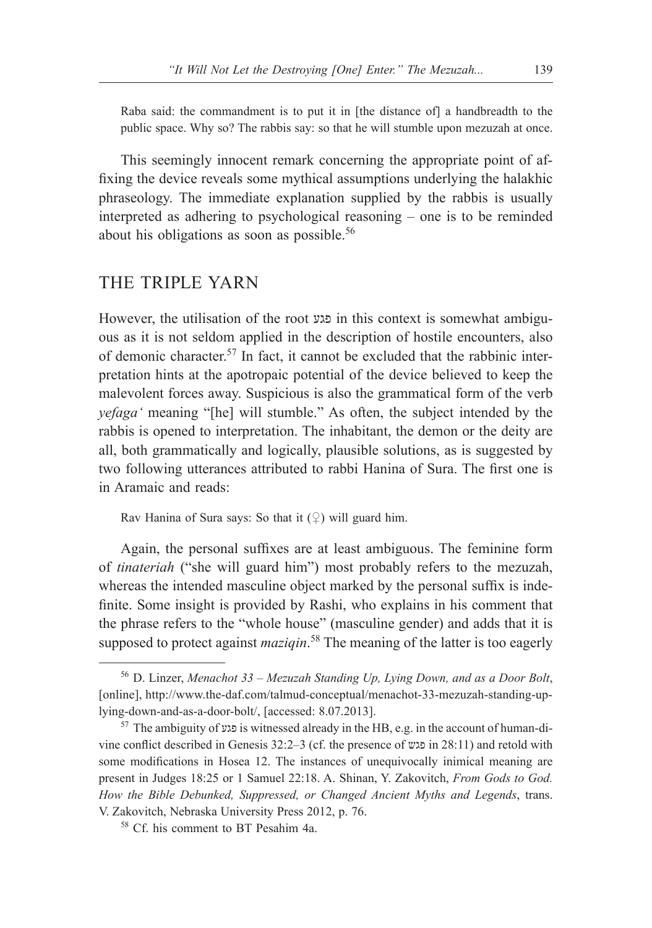Raba said: the commandment is to put it in [the distance of] a handbreadth to the public space. Why so? The rabbis say: so that he will stumble upon mezuzah at once.

This seemingly innocent remark concerning the appropriate point of affixing the device reveals some mythical assumptions underlying the halakhic phraseology. The immediate explanation supplied by the rabbis is usually interpreted as adhering to psychological reasoning – one is to be reminded about his obligations as soon as possible.<sup>56</sup>

### THE TRIPLE YARN

However, the utilisation of the root פגע in this context is somewhat ambiguous as it is not seldom applied in the description of hostile encounters, also of demonic character.<sup>57</sup> In fact, it cannot be excluded that the rabbinic interpretation hints at the apotropaic potential of the device believed to keep the malevolent forces away. Suspicious is also the grammatical form of the verb *yefaga'* meaning "[he] will stumble." As often, the subject intended by the rabbis is opened to interpretation. The inhabitant, the demon or the deity are all, both grammatically and logically, plausible solutions, as is suggested by two following utterances attributed to rabbi Hanina of Sura. The first one is in Aramaic and reads:

Rav Hanina of Sura says: So that it  $(\varphi)$  will guard him.

Again, the personal suffixes are at least ambiguous. The feminine form of *tinateriah* ("she will guard him") most probably refers to the mezuzah, whereas the intended masculine object marked by the personal suffix is indefinite. Some insight is provided by Rashi, who explains in his comment that the phrase refers to the "whole house" (masculine gender) and adds that it is supposed to protect against *maziqin*. 58 The meaning of the latter is too eagerly

<sup>56</sup> D. Linzer, *Menachot 33 – Mezuzah Standing Up, Lying Down, and as a Door Bolt*, [online], http://www.the-daf.com/talmud-conceptual/menachot-33-mezuzah-standing-uplying-down-and-as-a-door-bolt/, [accessed: 8.07.2013].

<sup>57</sup> The ambiguity of פגע is witnessed already in the HB, e.g. in the account of human-divine conflict described in Genesis 32:2–3 (cf. the presence of פגש in 28:11) and retold with some modifications in Hosea 12. The instances of unequivocally inimical meaning are present in Judges 18:25 or 1 Samuel 22:18. A. Shinan, Y. Zakovitch, *From Gods to God. How the Bible Debunked, Suppressed, or Changed Ancient Myths and Legends*, trans. V. Zakovitch, Nebraska University Press 2012, p. 76.

<sup>58</sup> Cf. his comment to BT Pesahim 4a.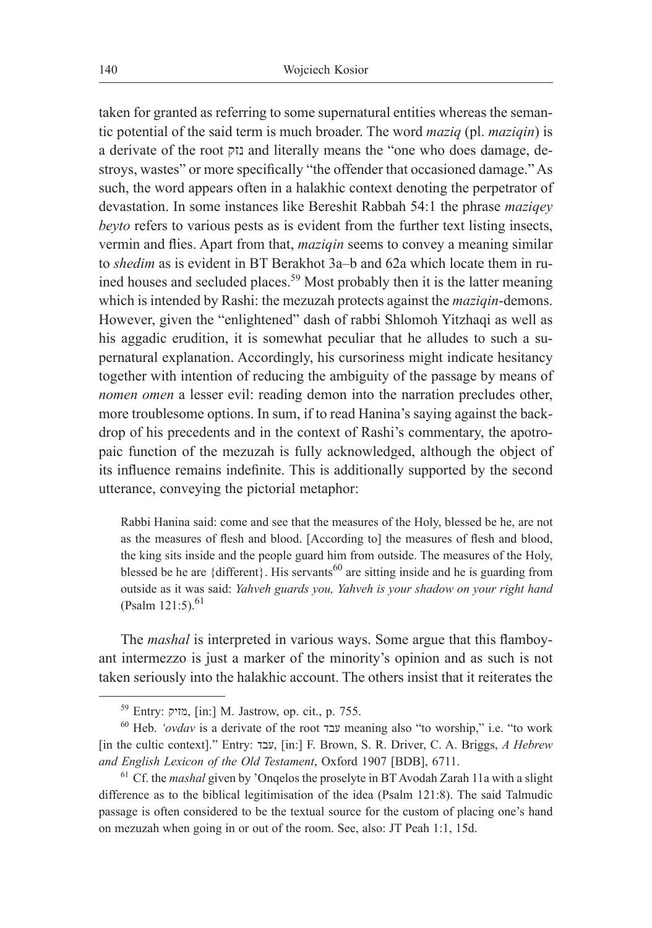taken for granted as referring to some supernatural entities whereas the semantic potential of the said term is much broader. The word *maziq* (pl. *maziqin*) is a derivate of the root נזק and literally means the "one who does damage, destroys, wastes" or more specifically "the offender that occasioned damage." As such, the word appears often in a halakhic context denoting the perpetrator of devastation. In some instances like Bereshit Rabbah 54:1 the phrase *maziqey beyto* refers to various pests as is evident from the further text listing insects, vermin and flies. Apart from that, *maziqin* seems to convey a meaning similar to *shedim* as is evident in BT Berakhot 3a–b and 62a which locate them in ruined houses and secluded places.59 Most probably then it is the latter meaning which is intended by Rashi: the mezuzah protects against the *maziqin*-demons. However, given the "enlightened" dash of rabbi Shlomoh Yitzhaqi as well as his aggadic erudition, it is somewhat peculiar that he alludes to such a supernatural explanation. Accordingly, his cursoriness might indicate hesitancy together with intention of reducing the ambiguity of the passage by means of *nomen omen* a lesser evil: reading demon into the narration precludes other, more troublesome options. In sum, if to read Hanina's saying against the backdrop of his precedents and in the context of Rashi's commentary, the apotropaic function of the mezuzah is fully acknowledged, although the object of its influence remains indefinite. This is additionally supported by the second utterance, conveying the pictorial metaphor:

Rabbi Hanina said: come and see that the measures of the Holy, blessed be he, are not as the measures of flesh and blood. [According to] the measures of flesh and blood, the king sits inside and the people guard him from outside. The measures of the Holy, blessed be he are {different}. His servants<sup>60</sup> are sitting inside and he is guarding from outside as it was said: *Yahveh guards you, Yahveh is your shadow on your right hand*  $(Psalm 121:5)$ .<sup>61</sup>

The *mashal* is interpreted in various ways. Some argue that this flamboyant intermezzo is just a marker of the minority's opinion and as such is not taken seriously into the halakhic account. The others insist that it reiterates the

<sup>59</sup> Entry: מזיק,] in:] M. Jastrow, op. cit., p. 755.

<sup>60</sup> Heb. *'ovdav* is a derivate of the root עבד meaning also "to worship," i.e. "to work [in the cultic context]." Entry: עבד,] in:] F. Brown, S. R. Driver, C. A. Briggs, *A Hebrew and English Lexicon of the Old Testament*, Oxford 1907 [BDB], 6711.

<sup>&</sup>lt;sup>61</sup> Cf. the *mashal* given by 'Ongelos the proselyte in BT Avodah Zarah 11a with a slight difference as to the biblical legitimisation of the idea (Psalm 121:8). The said Talmudic passage is often considered to be the textual source for the custom of placing one's hand on mezuzah when going in or out of the room. See, also: JT Peah 1:1, 15d.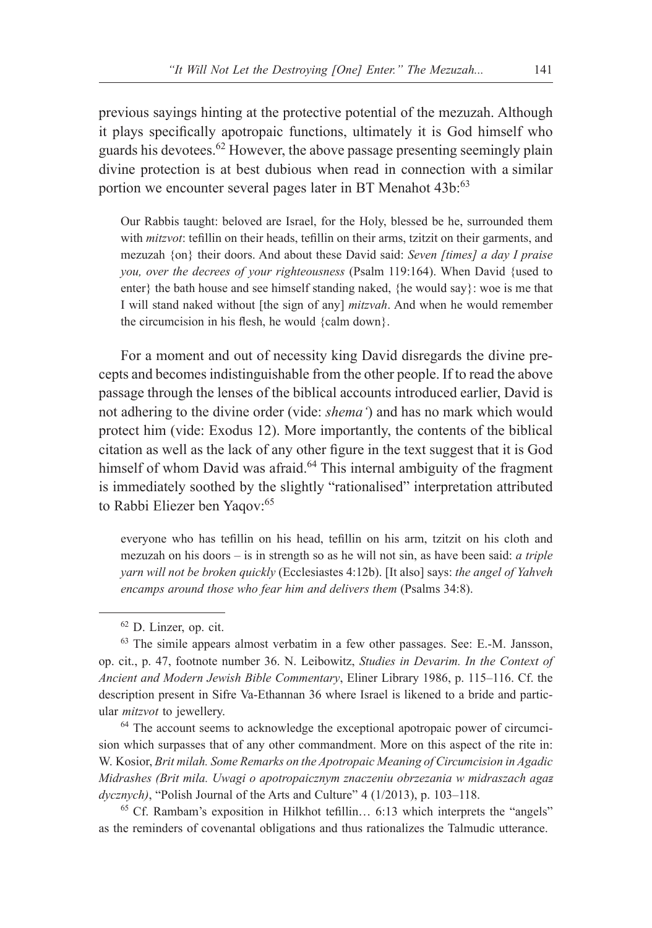previous sayings hinting at the protective potential of the mezuzah. Although it plays specifically apotropaic functions, ultimately it is God himself who guards his devotees.<sup>62</sup> However, the above passage presenting seemingly plain divine protection is at best dubious when read in connection with a similar portion we encounter several pages later in BT Menahot 43b:<sup>63</sup>

Our Rabbis taught: beloved are Israel, for the Holy, blessed be he, surrounded them with *mitzvot*: tefillin on their heads, tefillin on their arms, tzitzit on their garments, and mezuzah {on} their doors. And about these David said: *Seven [times] a day I praise you, over the decrees of your righteousness* (Psalm 119:164). When David {used to enter} the bath house and see himself standing naked, {he would say}: woe is me that I will stand naked without [the sign of any] *mitzvah*. And when he would remember the circumcision in his flesh, he would {calm down}.

For a moment and out of necessity king David disregards the divine precepts and becomes indistinguishable from the other people. If to read the above passage through the lenses of the biblical accounts introduced earlier, David is not adhering to the divine order (vide: *shema'*) and has no mark which would protect him (vide: Exodus 12). More importantly, the contents of the biblical citation as well as the lack of any other figure in the text suggest that it is God himself of whom David was afraid.<sup>64</sup> This internal ambiguity of the fragment is immediately soothed by the slightly "rationalised" interpretation attributed to Rabbi Eliezer ben Yaqov:<sup>65</sup>

everyone who has tefillin on his head, tefillin on his arm, tzitzit on his cloth and mezuzah on his doors – is in strength so as he will not sin, as have been said: *a triple yarn will not be broken quickly* (Ecclesiastes 4:12b). [It also] says: *the angel of Yahveh encamps around those who fear him and delivers them* (Psalms 34:8).

sion which surpasses that of any other commandment. More on this aspect of the rite in: W. Kosior, *Brit milah. Some Remarks on the Apotropaic Meaning of Circumcision in Agadic Midrashes (Brit mila. Uwagi o apotropaicznym znaczeniu obrzezania w midraszach agadycznych)*, "Polish Journal of the Arts and Culture" 4 (1/2013), p. 103–118.

<sup>65</sup> Cf. Rambam's exposition in Hilkhot tefillin… 6:13 which interprets the "angels" as the reminders of covenantal obligations and thus rationalizes the Talmudic utterance.

<sup>62</sup> D. Linzer, op. cit.

<sup>63</sup> The simile appears almost verbatim in a few other passages. See: E.-M. Jansson, op. cit., p. 47, footnote number 36. N. Leibowitz, *Studies in Devarim. In the Context of Ancient and Modern Jewish Bible Commentary*, Eliner Library 1986, p. 115–116. Cf. the description present in Sifre Va-Ethannan 36 where Israel is likened to a bride and particular *mitzvot* to jewellery.<br><sup>64</sup> The account seems to acknowledge the exceptional apotropaic power of circumci-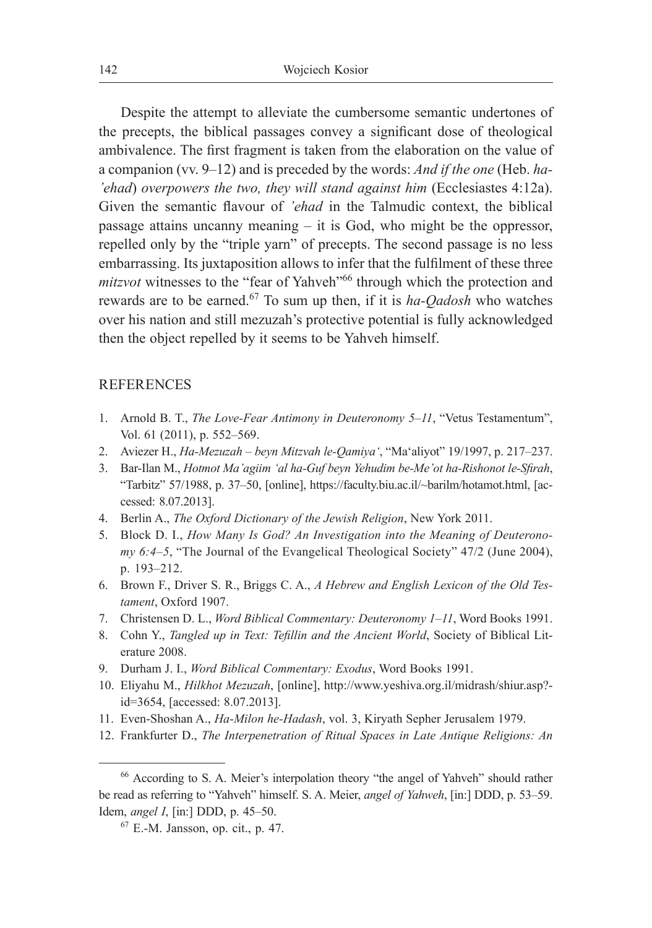Despite the attempt to alleviate the cumbersome semantic undertones of the precepts, the biblical passages convey a significant dose of theological ambivalence. The first fragment is taken from the elaboration on the value of a companion (vv. 9–12) and is preceded by the words: *And if the one* (Heb. *ha- 'ehad*) *overpowers the two, they will stand against him* (Ecclesiastes 4:12a). Given the semantic flavour of *'ehad* in the Talmudic context, the biblical passage attains uncanny meaning – it is God, who might be the oppressor, repelled only by the "triple yarn" of precepts. The second passage is no less embarrassing. Its juxtaposition allows to infer that the fulfilment of these three *mitzvot* witnesses to the "fear of Yahveh"<sup>66</sup> through which the protection and rewards are to be earned.67 To sum up then, if it is *ha-Qadosh* who watches over his nation and still mezuzah's protective potential is fully acknowledged then the object repelled by it seems to be Yahveh himself.

#### REFERENCES

- 1. Arnold B. T., *The Love-Fear Antimony in Deuteronomy 5‒11*, "Vetus Testamentum", Vol. 61 (2011), p. 552–569.
- 2. Aviezer H., *Ha-Mezuzah beyn Mitzvah le-Qamiya'*, "Ma'aliyot" 19/1997, p. 217–237.
- 3. Bar-Ilan M., *Hotmot Ma'agiim 'al ha-Guf beyn Yehudim be-Me'ot ha-Rishonot le-Sfirah*, "Tarbitz" 57/1988, p. 37–50, [online], https://faculty.biu.ac.il/~barilm/hotamot.html, [accessed: 8.07.2013].
- 4. Berlin A., *The Oxford Dictionary of the Jewish Religion*, New York 2011.
- 5. Block D. I., *How Many Is God? An Investigation into the Meaning of Deuteronomy 6:4–5*, "The Journal of the Evangelical Theological Society" 47/2 (June 2004), p. 193–212.
- 6. Brown F., Driver S. R., Briggs C. A., *A Hebrew and English Lexicon of the Old Testament*, Oxford 1907.
- 7. Christensen D. L., *Word Biblical Commentary: Deuteronomy 1–11*, Word Books 1991.
- 8. Cohn Y., *Tangled up in Text: Tefillin and the Ancient World*, Society of Biblical Literature 2008.
- 9. Durham J. I., *Word Biblical Commentary: Exodus*, Word Books 1991.
- 10. Eliyahu M., *Hilkhot Mezuzah*, [online], http://www.yeshiva.org.il/midrash/shiur.asp? id=3654, [accessed: 8.07.2013].
- 11. Even-Shoshan A., *Ha-Milon he-Hadash*, vol. 3, Kiryath Sepher Jerusalem 1979.
- 12. Frankfurter D., *The Interpenetration of Ritual Spaces in Late Antique Religions: An*

<sup>66</sup> According to S. A. Meier's interpolation theory "the angel of Yahveh" should rather be read as referring to "Yahveh" himself. S. A. Meier, *angel of Yahweh*, [in:] DDD, p. 53–59. Idem, *angel I*, [in:] DDD, p. 45–50.

<sup>67</sup> E.-M. Jansson, op. cit., p. 47.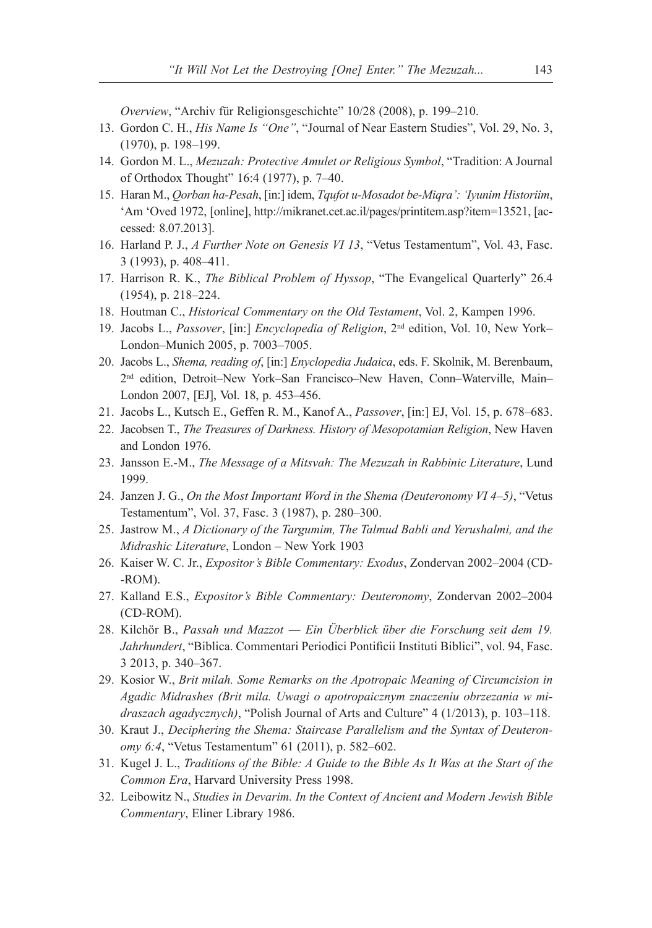*Overview*, "Archiv für Religionsgeschichte" 10/28 (2008), p. 199–210.

- 13. Gordon C. H., *His Name Is "One"*, "Journal of Near Eastern Studies", Vol. 29, No. 3, (1970), p. 198–199.
- 14. Gordon M. L., *Mezuzah: Protective Amulet or Religious Symbol*, "Tradition: A Journal of Orthodox Thought" 16:4 (1977), p. 7–40.
- 15. Haran M., *Qorban ha-Pesah*, [in:] idem, *Tqufot u-Mosadot be-Miqra': 'Iyunim Historiim*, 'Am 'Oved 1972, [online], http://mikranet.cet.ac.il/pages/printitem.asp?item=13521, [accessed: 8.07.2013].
- 16. Harland P. J., *A Further Note on Genesis VI 13*, "Vetus Testamentum", Vol. 43, Fasc. 3 (1993), p. 408–411.
- 17. Harrison R. K., *The Biblical Problem of Hyssop*, "The Evangelical Quarterly" 26.4 (1954), p. 218–224.
- 18. Houtman C., *Historical Commentary on the Old Testament*, Vol. 2, Kampen 1996.
- 19. Jacobs L., Passover, [in:] *Encyclopedia of Religion*, 2<sup>nd</sup> edition, Vol. 10, New York-London‒Munich 2005, p. 7003–7005.
- 20. Jacobs L., *Shema, reading of*, [in:] *Enyclopedia Judaica*, eds. F. Skolnik, M. Berenbaum, 2<sup>nd</sup> edition, Detroit-New York-San Francisco-New Haven, Conn-Waterville, Main-London 2007, [EJ], Vol. 18, p. 453–456.
- 21. Jacobs L., Kutsch E., Geffen R. M., Kanof A., *Passover*, [in:] EJ, Vol. 15, p. 678–683.
- 22. Jacobsen T., *The Treasures of Darkness. History of Mesopotamian Religion*, New Haven and London 1976.
- 23. Jansson E.-M., *The Message of a Mitsvah: The Mezuzah in Rabbinic Literature*, Lund 1999.
- 24. Janzen J. G., *On the Most Important Word in the Shema (Deuteronomy VI 4–5)*, "Vetus Testamentum", Vol. 37, Fasc. 3 (1987), p. 280–300.
- 25. Jastrow M., *A Dictionary of the Targumim, The Talmud Babli and Yerushalmi, and the Midrashic Literature*, London – New York 1903
- 26. Kaiser W. C. Jr., *Expositor's Bible Commentary: Exodus*, Zondervan 2002–2004 (CD- -ROM).
- 27. Kalland E.S., *Expositor's Bible Commentary: Deuteronomy*, Zondervan 2002–2004 (CD-ROM).
- 28. Kilchör B., *Passah und Mazzot ― Ein Überblick über die Forschung seit dem 19. Jahrhundert*, "Biblica. Commentari Periodici Pontificii Instituti Biblici", vol. 94, Fasc. 3 2013, p. 340–367.
- 29. Kosior W., *Brit milah. Some Remarks on the Apotropaic Meaning of Circumcision in Agadic Midrashes (Brit mila. Uwagi o apotropaicznym znaczeniu obrzezania w midraszach agadycznych)*, "Polish Journal of Arts and Culture" 4 (1/2013), p. 103–118.
- 30. Kraut J., *Deciphering the Shema: Staircase Parallelism and the Syntax of Deuteronomy 6:4*, "Vetus Testamentum" 61 (2011), p. 582–602.
- 31. Kugel J. L., *Traditions of the Bible: A Guide to the Bible As It Was at the Start of the Common Era*, Harvard University Press 1998.
- 32. Leibowitz N., *Studies in Devarim. In the Context of Ancient and Modern Jewish Bible Commentary*, Eliner Library 1986.